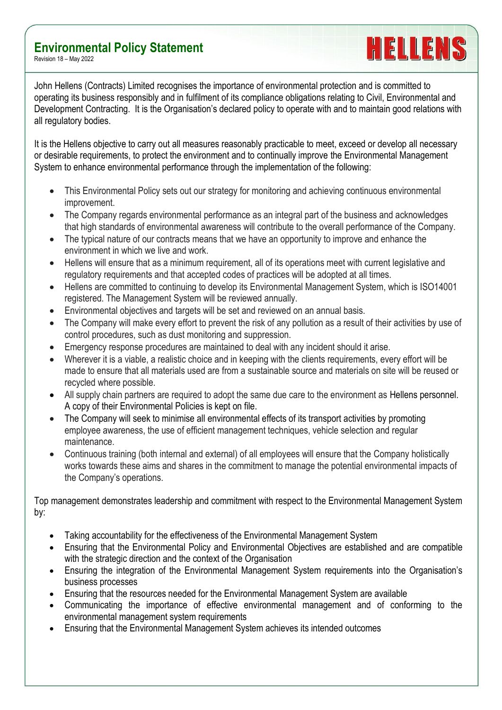## **Environmental Policy Statement**

Revision 18 – May 2022

John Hellens (Contracts) Limited recognises the importance of environmental protection and is committed to operating its business responsibly and in fulfilment of its compliance obligations relating to Civil, Environmental and Development Contracting. It is the Organisation's declared policy to operate with and to maintain good relations with all regulatory bodies.

HELLENS

It is the Hellens objective to carry out all measures reasonably practicable to meet, exceed or develop all necessary or desirable requirements, to protect the environment and to continually improve the Environmental Management System to enhance environmental performance through the implementation of the following:

- This Environmental Policy sets out our strategy for monitoring and achieving continuous environmental improvement.
- The Company regards environmental performance as an integral part of the business and acknowledges that high standards of environmental awareness will contribute to the overall performance of the Company.
- The typical nature of our contracts means that we have an opportunity to improve and enhance the environment in which we live and work.
- Hellens will ensure that as a minimum requirement, all of its operations meet with current legislative and regulatory requirements and that accepted codes of practices will be adopted at all times.
- Hellens are committed to continuing to develop its Environmental Management System, which is ISO14001 registered. The Management System will be reviewed annually.
- Environmental objectives and targets will be set and reviewed on an annual basis.
- The Company will make every effort to prevent the risk of any pollution as a result of their activities by use of control procedures, such as dust monitoring and suppression.
- Emergency response procedures are maintained to deal with any incident should it arise.
- Wherever it is a viable, a realistic choice and in keeping with the clients requirements, every effort will be made to ensure that all materials used are from a sustainable source and materials on site will be reused or recycled where possible.
- All supply chain partners are required to adopt the same due care to the environment as Hellens personnel. A copy of their Environmental Policies is kept on file.
- The Company will seek to minimise all environmental effects of its transport activities by promoting employee awareness, the use of efficient management techniques, vehicle selection and regular maintenance.
- Continuous training (both internal and external) of all employees will ensure that the Company holistically works towards these aims and shares in the commitment to manage the potential environmental impacts of the Company's operations.

Top management demonstrates leadership and commitment with respect to the Environmental Management System by:

- Taking accountability for the effectiveness of the Environmental Management System
- Ensuring that the Environmental Policy and Environmental Objectives are established and are compatible with the strategic direction and the context of the Organisation
- Ensuring the integration of the Environmental Management System requirements into the Organisation's business processes
- Ensuring that the resources needed for the Environmental Management System are available
- Communicating the importance of effective environmental management and of conforming to the environmental management system requirements
- Ensuring that the Environmental Management System achieves its intended outcomes